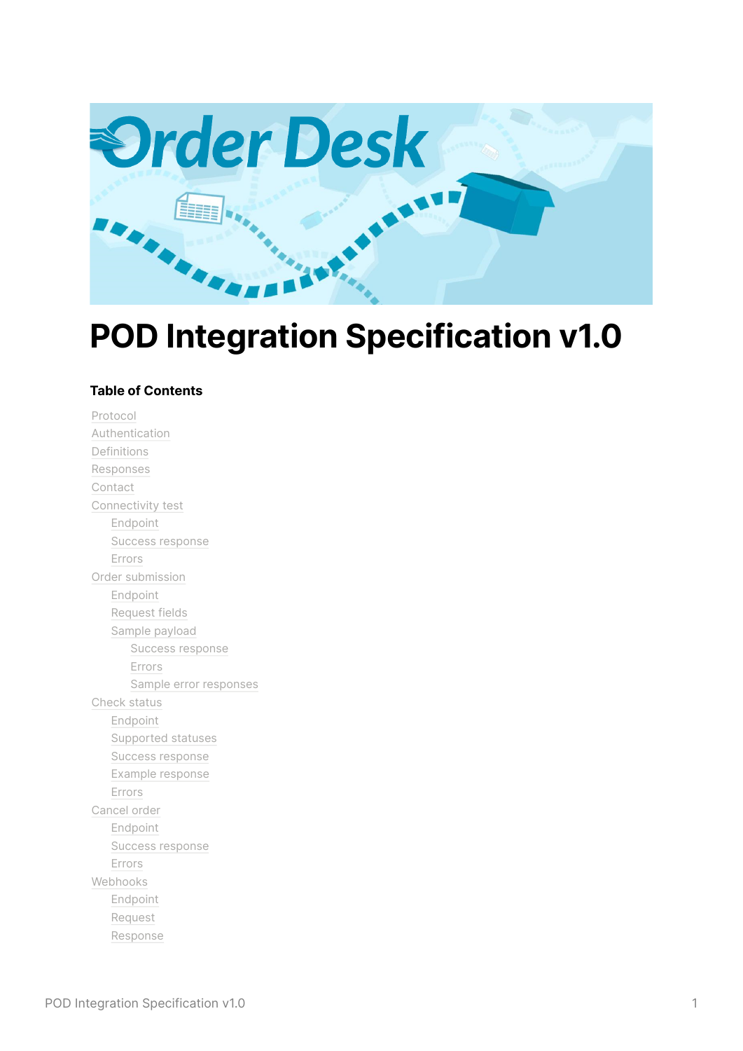

# **POD Integration Specification v1.0**

#### **Table of Contents**

[Protocol](#page-1-0) [Authentication](#page-1-1) [Definitions](#page-1-2) [Responses](#page-1-3) [Contact](#page-1-4) [Connectivity](#page-1-5) test [Endpoint](#page-1-6) Success [response](#page-1-7) [Errors](#page-2-0) Order [submission](#page-2-1) [Endpoint](#page-2-2) [Request](#page-2-3) fields Sample [payload](#page-7-0) Success [response](#page-8-0) [Errors](#page-9-0) Sample error [responses](#page-10-0) [Check](#page-11-0) status [Endpoint](#page-11-1) [Supported](#page-11-2) statuses Success [response](#page-12-0) Example [response](#page-12-1) [Errors](#page-14-0) [Cancel](#page-14-1) order [Endpoint](#page-14-2) Success [response](#page-14-3) [Errors](#page-14-4) [Webhooks](#page-15-0) [Endpoint](#page-15-1) [Request](#page-15-2) [Response](#page-16-0)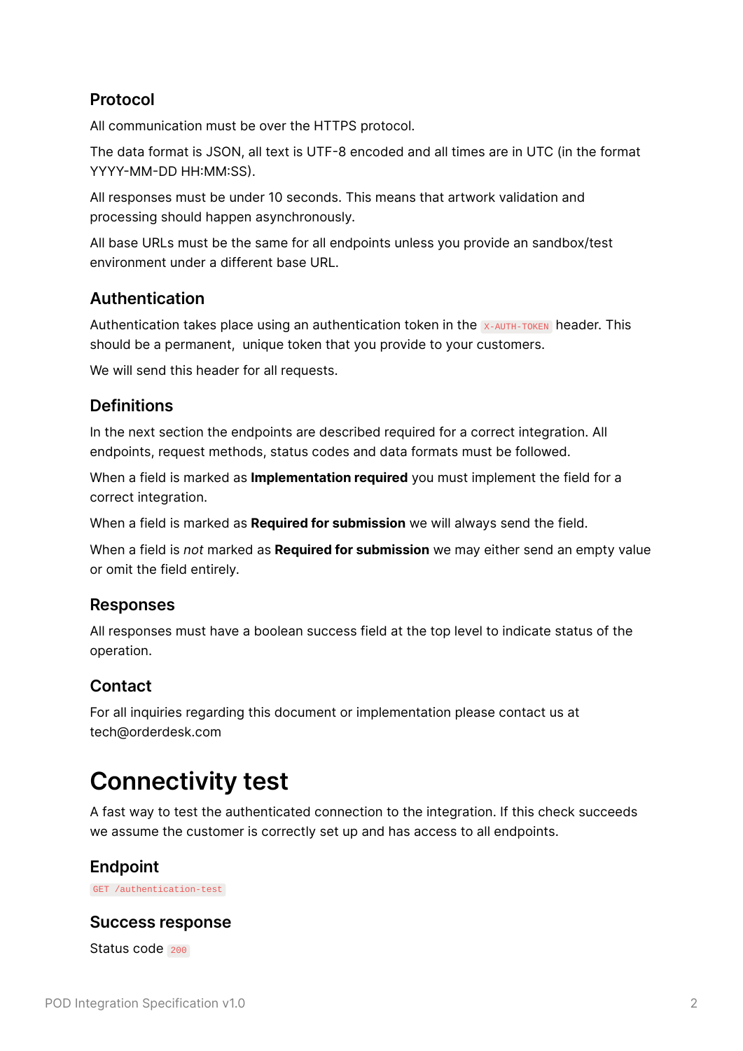### <span id="page-1-0"></span>**Protocol**

All communication must be over the HTTPS protocol.

The data format is JSON, all text is UTF-8 encoded and all times are in UTC (in the format YYYY-MM-DD HH:MM:SS).

All responses must be under 10 seconds. This means that artwork validation and processing should happen asynchronously.

All base URLs must be the same for all endpoints unless you provide an sandbox/test environment under a different base URL.

#### <span id="page-1-1"></span>**Authentication**

Authentication takes place using an authentication token in the X-AUTH-TOKEN header. This should be a permanent, unique token that you provide to your customers.

We will send this header for all requests.

#### <span id="page-1-2"></span>**Definitions**

In the next section the endpoints are described required for a correct integration. All endpoints, request methods, status codes and data formats must be followed.

When a field is marked as **Implementation required** you must implement the field for a correct integration.

When a field is marked as **Required for submission** we will always send the field.

When a field is *not* marked as **Required for submission** we may either send an empty value or omit the field entirely.

#### <span id="page-1-3"></span>**Responses**

All responses must have a boolean success field at the top level to indicate status of the operation.

### <span id="page-1-4"></span>**Contact**

For all inquiries regarding this document or implementation please contact us at tech@orderdesk.com

## <span id="page-1-5"></span>**Connectivity test**

A fast way to test the authenticated connection to the integration. If this check succeeds we assume the customer is correctly set up and has access to all endpoints.

#### <span id="page-1-6"></span>**Endpoint**

GET /authentication-test

#### <span id="page-1-7"></span>**Success response**

Status code 200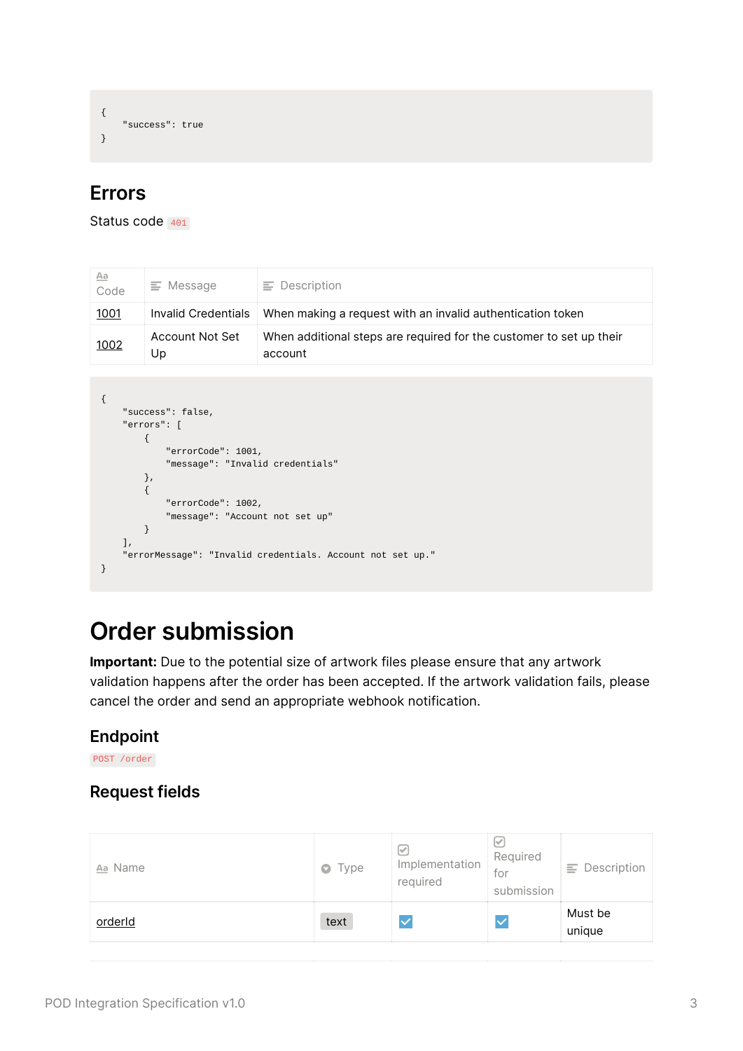```
{
    "success": true
}
```
## <span id="page-2-0"></span>**Errors**

```
Status code 401
```

| Aa<br>Code  | Message<br>≘          | $\equiv$ Description                                                           |
|-------------|-----------------------|--------------------------------------------------------------------------------|
| <u>1001</u> | Invalid Credentials   | When making a request with an invalid authentication token                     |
| 1002        | Account Not Set<br>Up | When additional steps are required for the customer to set up their<br>account |

```
{
   "success": false,
    "errors": [
       {
           "errorCode": 1001,
           "message": "Invalid credentials"
       },
       {
           "errorCode": 1002,
          "message": "Account not set up"
       }
    ],
    "errorMessage": "Invalid credentials. Account not set up."
}
```
## <span id="page-2-1"></span>**Order submission**

**Important:** Due to the potential size of artwork files please ensure that any artwork validation happens after the order has been accepted. If the artwork validation fails, please cancel the order and send an appropriate webhook notification.

### <span id="page-2-2"></span>**Endpoint**

POST /order

## <span id="page-2-3"></span>**Request fields**

| Aa Name | $\bullet$ Type | ∣√<br>Implementation<br>required | ∣√<br>Required<br>for<br>submission | Description<br>Ξ. |
|---------|----------------|----------------------------------|-------------------------------------|-------------------|
| orderId | text           |                                  | $\checkmark$                        | Must be<br>unique |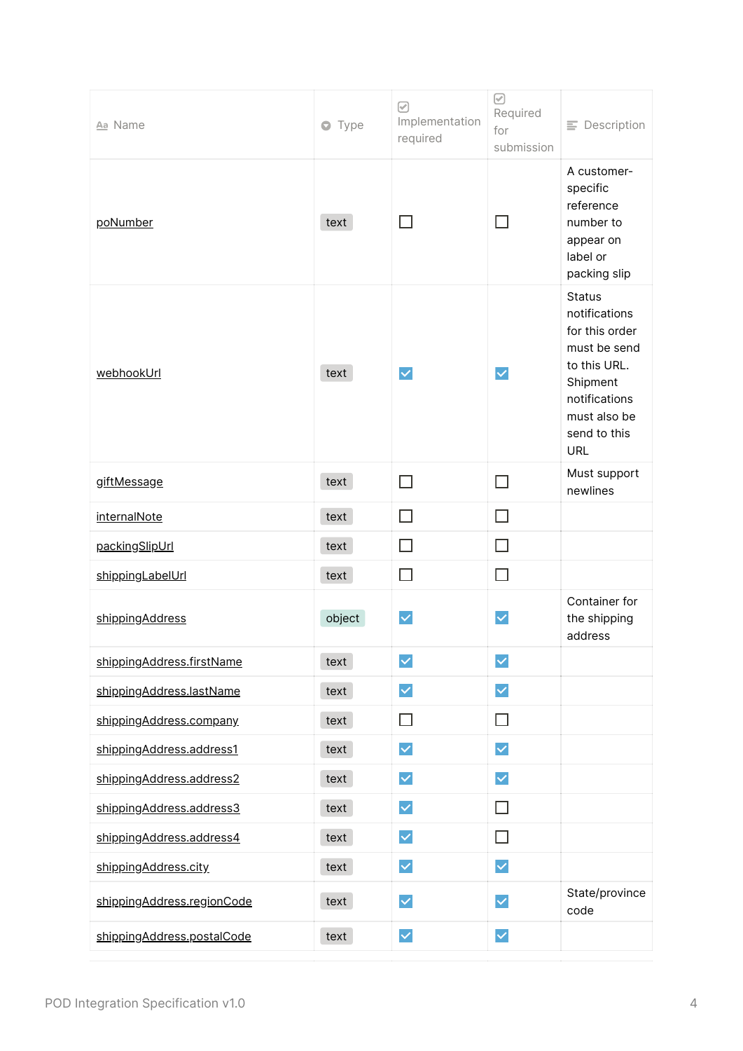| Aa Name                    | $\bullet$ Type | ☑<br>Implementation<br>required | $\odot$<br>Required<br>for<br>submission | $\equiv$ Description                                                                                                                                        |
|----------------------------|----------------|---------------------------------|------------------------------------------|-------------------------------------------------------------------------------------------------------------------------------------------------------------|
| poNumber                   | text           | П                               | - 1                                      | A customer-<br>specific<br>reference<br>number to<br>appear on<br>label or<br>packing slip                                                                  |
| webhookUrl                 | text           | $\checkmark$                    | $\checkmark$                             | <b>Status</b><br>notifications<br>for this order<br>must be send<br>to this URL.<br>Shipment<br>notifications<br>must also be<br>send to this<br><b>URL</b> |
| giftMessage                | text           | $\Box$                          | П                                        | Must support<br>newlines                                                                                                                                    |
| <i>internalNote</i>        | text           | П                               | $\Box$                                   |                                                                                                                                                             |
| packingSlipUrl             | text           | П                               | П                                        |                                                                                                                                                             |
| shippingLabelUrl           | text           | П                               | $\Box$                                   |                                                                                                                                                             |
| shippingAddress            | object         | $\checkmark$                    | $\checkmark$                             | Container for<br>the shipping<br>address                                                                                                                    |
| shippingAddress.firstName  | text           | $\blacktriangledown$            | $\checkmark$                             |                                                                                                                                                             |
| shippingAddress.lastName   | text           | $\checkmark$                    | $\blacktriangledown$                     |                                                                                                                                                             |
| shippingAddress.company    | text           | $\Box$                          | П                                        |                                                                                                                                                             |
| shippingAddress.address1   | text           | $\blacktriangledown$            | $\checkmark$                             |                                                                                                                                                             |
| shippingAddress.address2   | text           | $\checkmark$                    | $\checkmark$                             |                                                                                                                                                             |
| shippingAddress.address3   | text           | $\checkmark$                    | $\Box$                                   |                                                                                                                                                             |
| shippingAddress.address4   | text           | $\checkmark$                    | $\Box$                                   |                                                                                                                                                             |
| shippingAddress.city       | text           | $\blacktriangledown$            | $\blacktriangledown$                     |                                                                                                                                                             |
| shippingAddress.regionCode | text           | $\checkmark$                    | $\checkmark$                             | State/province<br>code                                                                                                                                      |
| shippingAddress.postalCode | text           | $\checkmark$                    | $\vert\mathbf{v}\vert$                   |                                                                                                                                                             |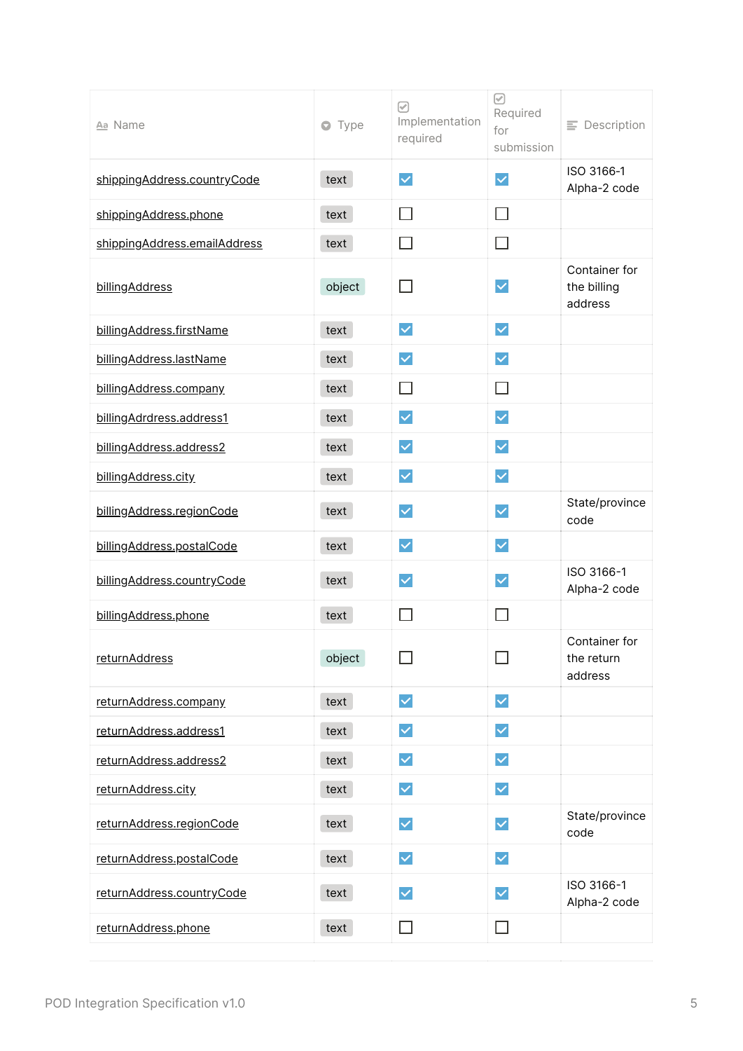| Aa Name                      | Type<br>$\bullet$ | ☑<br>Implementation<br>required | ☑<br>Required<br>for<br>submission | $\equiv$ Description                    |
|------------------------------|-------------------|---------------------------------|------------------------------------|-----------------------------------------|
| shippingAddress.countryCode  | text              | $\blacktriangledown$            | $\checkmark$                       | ISO 3166-1<br>Alpha-2 code              |
| shippingAddress.phone        | text              | П                               | $\Box$                             |                                         |
| shippingAddress.emailAddress | text              | ΙI                              | H                                  |                                         |
| billingAddress               | object            | $\Box$                          | $\checkmark$                       | Container for<br>the billing<br>address |
| billingAddress.firstName     | text              | $\blacktriangledown$            | $\checkmark$                       |                                         |
| billingAddress.lastName      | text              | $\blacktriangledown$            | $\checkmark$                       |                                         |
| billingAddress.company       | text              | ΙI                              | П                                  |                                         |
| billingAdrdress.address1     | text              | $\blacktriangledown$            | $\checkmark$                       |                                         |
| billingAddress.address2      | text              | $\blacktriangledown$            | $\checkmark$                       |                                         |
| billingAddress.city          | text              | $\blacktriangledown$            | $\checkmark$                       |                                         |
| billingAddress.regionCode    | text              | $\overline{\vee}$               | $\checkmark$                       | State/province<br>code                  |
| billingAddress.postalCode    | text              | $\blacktriangledown$            | $\checkmark$                       |                                         |
| billingAddress.countryCode   | text              | $\checkmark$                    | $\checkmark$                       | ISO 3166-1<br>Alpha-2 code              |
| billingAddress.phone         | text              |                                 | L.                                 |                                         |
| returnAddress                | object            |                                 |                                    | Container for<br>the return<br>address  |
| returnAddress.company        | text              | $\blacktriangledown$            | $\blacktriangledown$               |                                         |
| returnAddress.address1       | text              | $\blacktriangledown$            | $\checkmark$                       |                                         |
| returnAddress.address2       | text              | $\blacktriangledown$            | $\blacktriangledown$               |                                         |
| returnAddress.city           | text              | $\overline{\vee}$               | $\checkmark$                       |                                         |
| returnAddress.regionCode     | text              | $\blacktriangledown$            | $\checkmark$                       | State/province<br>code                  |
| returnAddress.postalCode     | text              | $\blacktriangledown$            | $\checkmark$                       |                                         |
| returnAddress.countryCode    | text              | $\blacktriangledown$            | $\checkmark$                       | ISO 3166-1<br>Alpha-2 code              |
| returnAddress.phone          | text              | $\vert \ \ \vert$               | П                                  |                                         |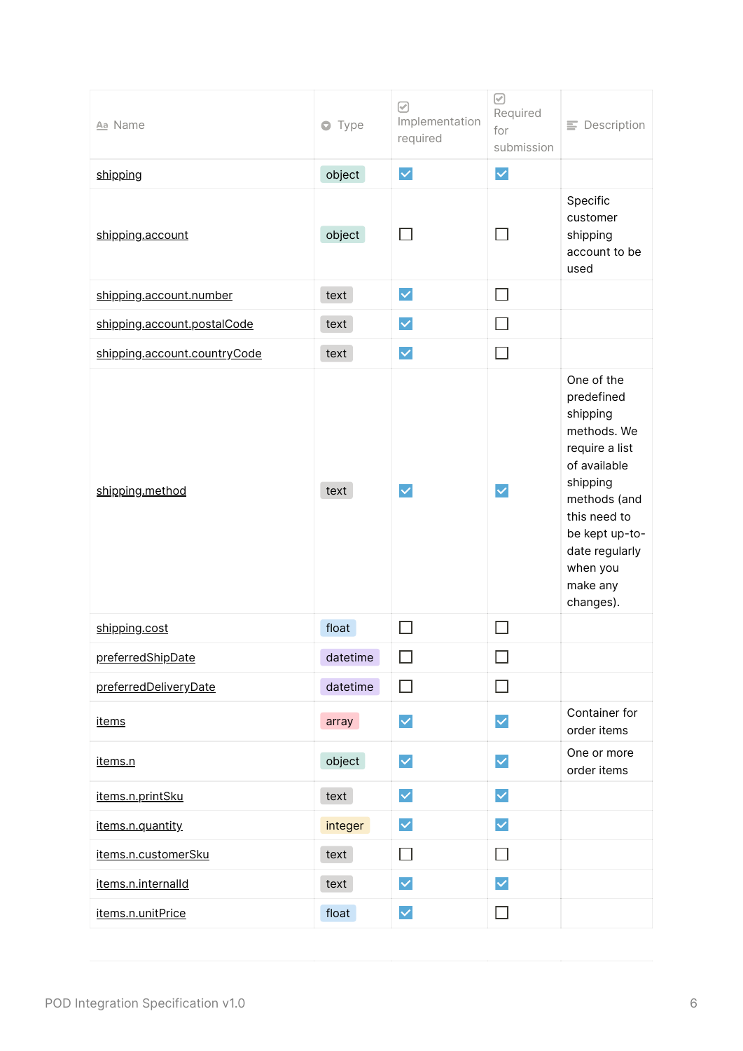| Aa Name                      | $\bullet$ Type | ☑<br>Implementation<br>required | ☑<br>Required<br>for<br>submission | $\equiv$ Description                                                                                                                                                                                       |
|------------------------------|----------------|---------------------------------|------------------------------------|------------------------------------------------------------------------------------------------------------------------------------------------------------------------------------------------------------|
| shipping                     | object         | $\blacktriangledown$            | $\blacktriangledown$               |                                                                                                                                                                                                            |
| shipping.account             | object         | П                               | H                                  | Specific<br>customer<br>shipping<br>account to be<br>used                                                                                                                                                  |
| shipping.account.number      | text           | $\blacktriangledown$            | П                                  |                                                                                                                                                                                                            |
| shipping.account.postalCode  | text           | $\blacktriangledown$            | $\Box$                             |                                                                                                                                                                                                            |
| shipping.account.countryCode | text           | $\checkmark$                    | П                                  |                                                                                                                                                                                                            |
| shipping.method              | text           | $\checkmark$                    | $\checkmark$                       | One of the<br>predefined<br>shipping<br>methods. We<br>require a list<br>of available<br>shipping<br>methods (and<br>this need to<br>be kept up-to-<br>date regularly<br>when you<br>make any<br>changes). |
| shipping.cost                | float          | $\mathsf{L}$                    |                                    |                                                                                                                                                                                                            |
| preferredShipDate            | datetime       | ΙI                              |                                    |                                                                                                                                                                                                            |
| preferredDeliveryDate        | datetime       | $\Box$                          | $\Box$                             |                                                                                                                                                                                                            |
| <u>items</u>                 | array          | $\blacktriangledown$            | $\checkmark$                       | Container for<br>order items                                                                                                                                                                               |
| items.n                      | object         | $\blacktriangledown$            | $\blacktriangledown$               | One or more<br>order items                                                                                                                                                                                 |
| items.n.printSku             | text           | $\blacktriangledown$            | $\blacktriangledown$               |                                                                                                                                                                                                            |
| items.n.quantity             | integer        | $\blacktriangledown$            | $\blacktriangledown$               |                                                                                                                                                                                                            |
| items.n.customerSku          | text           | $\Box$                          | $\Box$                             |                                                                                                                                                                                                            |
| items.n.internalld           | text           | $\blacktriangledown$            | $\checkmark$                       |                                                                                                                                                                                                            |
| items.n.unitPrice            | float          | $\blacktriangledown$            | $\Box$                             |                                                                                                                                                                                                            |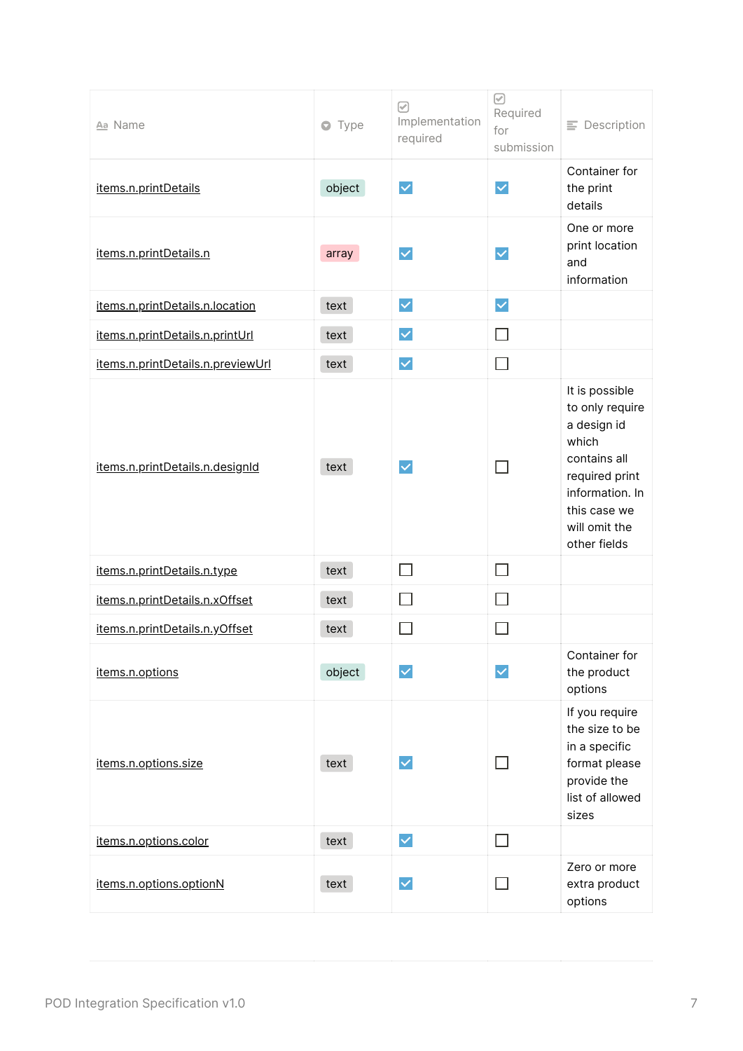| Aa Name                           | Type<br>$\bullet$ | ☑<br>Implementation<br>required | ☑<br>Required<br>for<br>submission | $\equiv$ Description                                                                                                                                            |
|-----------------------------------|-------------------|---------------------------------|------------------------------------|-----------------------------------------------------------------------------------------------------------------------------------------------------------------|
| items.n.printDetails              | object            | $\blacktriangledown$            | $\checkmark$                       | Container for<br>the print<br>details                                                                                                                           |
| items.n.printDetails.n            | array             | $\checkmark$                    | $\checkmark$                       | One or more<br>print location<br>and<br>information                                                                                                             |
| items.n.printDetails.n.location   | text              | $\checkmark$                    | $\blacktriangledown$               |                                                                                                                                                                 |
| items.n.printDetails.n.printUrl   | text              | $\blacktriangledown$            | П                                  |                                                                                                                                                                 |
| items.n.printDetails.n.previewUrl | text              | $\blacktriangledown$            | $\Box$                             |                                                                                                                                                                 |
| items.n.printDetails.n.designId   | text              | $\checkmark$                    |                                    | It is possible<br>to only require<br>a design id<br>which<br>contains all<br>required print<br>information. In<br>this case we<br>will omit the<br>other fields |
| items.n.printDetails.n.type       | text              | П                               | $\Box$                             |                                                                                                                                                                 |
| items.n.printDetails.n.xOffset    | text              |                                 | $\mathcal{A}$                      |                                                                                                                                                                 |
| items.n.printDetails.n.yOffset    | text              |                                 |                                    |                                                                                                                                                                 |
| items.n.options                   | object            | M                               | $\checkmark$                       | Container for<br>the product<br>options                                                                                                                         |
| items.n.options.size              | text              | $\checkmark$                    |                                    | If you require<br>the size to be<br>in a specific<br>format please<br>provide the<br>list of allowed<br>sizes                                                   |
| items.n.options.color             | text              | $\blacktriangledown$            | $\mathsf{L}$                       |                                                                                                                                                                 |
| items.n.options.optionN           | text              | $\checkmark$                    |                                    | Zero or more<br>extra product<br>options                                                                                                                        |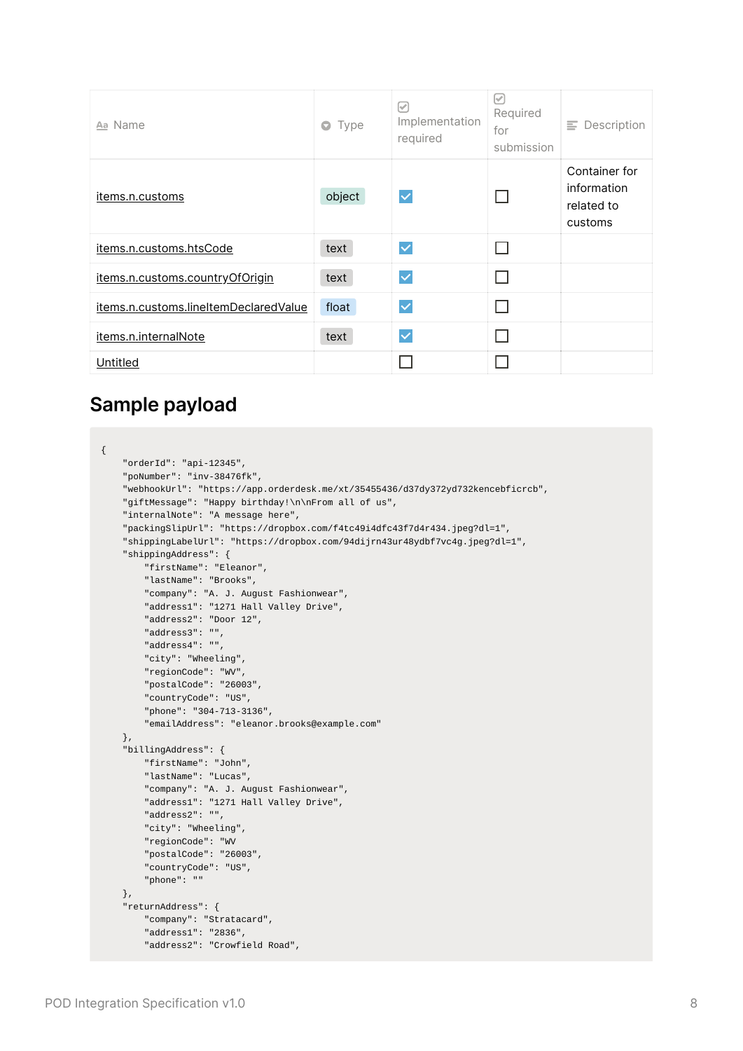| Aa Name                               | Type<br>$\bullet$ | び<br>Implementation<br>required | $ \mathcal{S} $<br>Required<br>for<br>submission | $\equiv$ Description                                  |
|---------------------------------------|-------------------|---------------------------------|--------------------------------------------------|-------------------------------------------------------|
| items.n.customs                       | object            | $\checkmark$                    |                                                  | Container for<br>information<br>related to<br>customs |
| items.n.customs.htsCode               | text              | $\checkmark$                    |                                                  |                                                       |
| items.n.customs.countryOfOrigin       | text              | $\checkmark$                    |                                                  |                                                       |
| items.n.customs.lineItemDeclaredValue | float             | $\checkmark$                    |                                                  |                                                       |
| items.n.internalNote                  | text              | $\checkmark$                    |                                                  |                                                       |
| Untitled                              |                   |                                 |                                                  |                                                       |

## <span id="page-7-0"></span>**Sample payload**

```
{
    "orderId": "api-12345",
    "poNumber": "inv-38476fk",
    "webhookUrl": "https://app.orderdesk.me/xt/35455436/d37dy372yd732kencebficrcb",
    "giftMessage": "Happy birthday!\n\nFrom all of us",
    "internalNote": "A message here",
    "packingSlipUrl": "https://dropbox.com/f4tc49i4dfc43f7d4r434.jpeg?dl=1",
    "shippingLabelUrl": "https://dropbox.com/94dijrn43ur48ydbf7vc4g.jpeg?dl=1",
    "shippingAddress": {
        "firstName": "Eleanor",
        "lastName": "Brooks",
        "company": "A. J. August Fashionwear",
        "address1": "1271 Hall Valley Drive",
        "address2": "Door 12",
        "address3": "",
        "address4": "",
        "city": "Wheeling",
        "regionCode": "WV",
        "postalCode": "26003",
        "countryCode": "US",
        "phone": "304-713-3136",
        "emailAddress": "eleanor.brooks@example.com"
    },
    "billingAddress": {
        "firstName": "John",
        "lastName": "Lucas",
        "company": "A. J. August Fashionwear",
        "address1": "1271 Hall Valley Drive",
        "address2": "",
        "city": "Wheeling",
        "regionCode": "WV
        "postalCode": "26003",
        "countryCode": "US",
        "phone": ""
    },
    "returnAddress": {
        "company": "Stratacard",
        "address1": "2836",
        "address2": "Crowfield Road",
```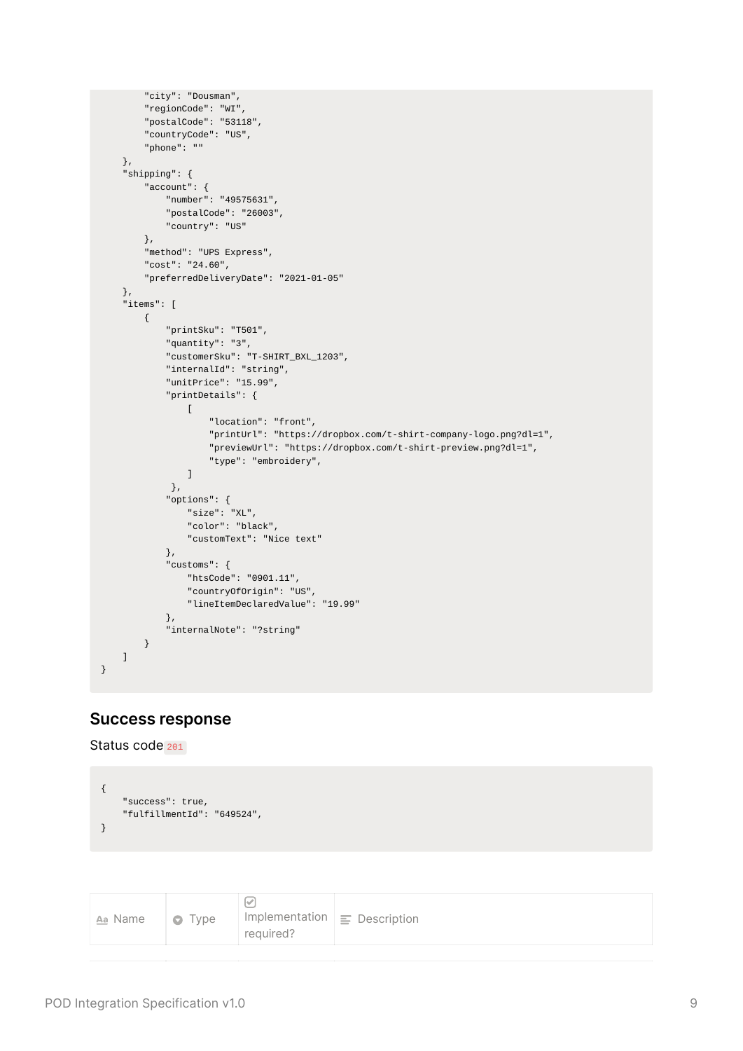```
"city": "Dousman",
        "regionCode": "WI",
        "postalCode": "53118",
        "countryCode": "US",
        "phone": ""
    },
    "shipping": {
        "account": {
            "number": "49575631",
            "postalCode": "26003",
            "country": "US"
        },
        "method": "UPS Express",
        "cost": "24.60",
        "preferredDeliveryDate": "2021-01-05"
    },
    "items": [
        {
            "printSku": "T501",
            "quantity": "3",
            "customerSku": "T-SHIRT_BXL_1203",
            "internalId": "string",
            "unitPrice": "15.99",
            "printDetails": {
                \lceil"location": "front",
                    "printUrl": "https://dropbox.com/t-shirt-company-logo.png?dl=1",
                    "previewUrl": "https://dropbox.com/t-shirt-preview.png?dl=1",
                    "type": "embroidery",
                ]
             },
            "options": {
                "size": "XL",
                "color": "black",
                "customText": "Nice text"
            },
            "customs": {
                "htsCode": "0901.11",
                "countryOfOrigin": "US",
                "lineItemDeclaredValue": "19.99"
            },
            "internalNote": "?string"
        }
   ]
}
```
#### <span id="page-8-0"></span>**Success response**

Status code 201

```
{
    "success": true,
    "fulfillmentId": "649524",
}
```

| Aa Name | $\bullet$ Type | reguired? | Implementation $\vert \equiv$ Description |
|---------|----------------|-----------|-------------------------------------------|
|---------|----------------|-----------|-------------------------------------------|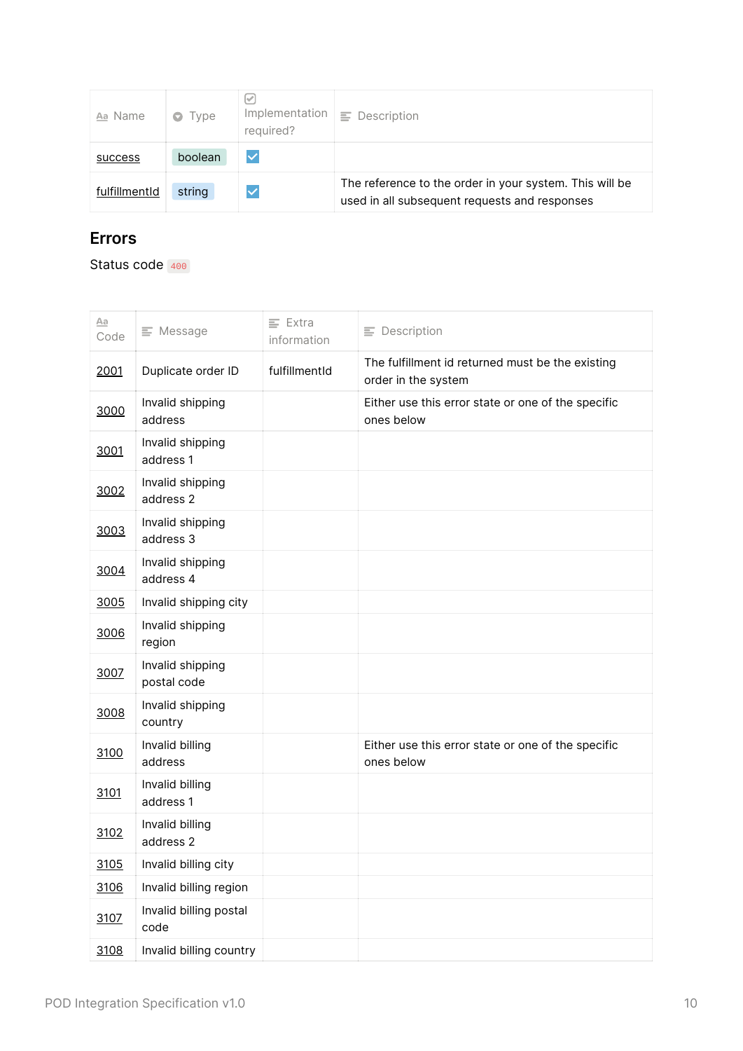| Aa Name       | $\bullet$ Type | Implementation<br>required? | Ξ.<br>Description                                                                                        |
|---------------|----------------|-----------------------------|----------------------------------------------------------------------------------------------------------|
| success       | boolean        | $\checkmark$                |                                                                                                          |
| fulfillmentId | string         | $\overline{\vee}$           | The reference to the order in your system. This will be<br>used in all subsequent requests and responses |

## <span id="page-9-0"></span>**Errors**

Status code 400

| Aa<br>Code | $\equiv$ Message                | $\equiv$ Extra<br>information | $\equiv$ Description                                                    |
|------------|---------------------------------|-------------------------------|-------------------------------------------------------------------------|
| 2001       | Duplicate order ID              | fulfillmentId                 | The fulfillment id returned must be the existing<br>order in the system |
| 3000       | Invalid shipping<br>address     |                               | Either use this error state or one of the specific<br>ones below        |
| 3001       | Invalid shipping<br>address 1   |                               |                                                                         |
| 3002       | Invalid shipping<br>address 2   |                               |                                                                         |
| 3003       | Invalid shipping<br>address 3   |                               |                                                                         |
| 3004       | Invalid shipping<br>address 4   |                               |                                                                         |
| 3005       | Invalid shipping city           |                               |                                                                         |
| 3006       | Invalid shipping<br>region      |                               |                                                                         |
| 3007       | Invalid shipping<br>postal code |                               |                                                                         |
| 3008       | Invalid shipping<br>country     |                               |                                                                         |
| 3100       | Invalid billing<br>address      |                               | Either use this error state or one of the specific<br>ones below        |
| 3101       | Invalid billing<br>address 1    |                               |                                                                         |
| 3102       | Invalid billing<br>address 2    |                               |                                                                         |
| 3105       | Invalid billing city            |                               |                                                                         |
| 3106       | Invalid billing region          |                               |                                                                         |
| 3107       | Invalid billing postal<br>code  |                               |                                                                         |
| 3108       | Invalid billing country         |                               |                                                                         |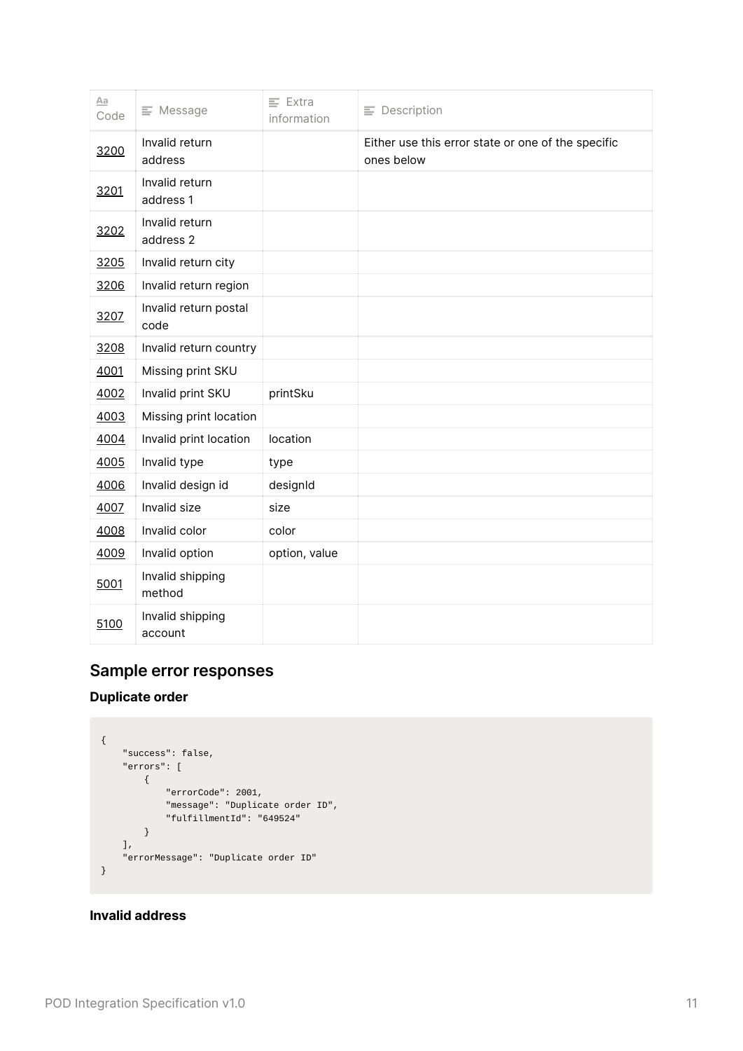| Aa<br>Code | $\equiv$ Message              | $\equiv$ Extra<br>information | $\equiv$ Description                                             |
|------------|-------------------------------|-------------------------------|------------------------------------------------------------------|
| 3200       | Invalid return<br>address     |                               | Either use this error state or one of the specific<br>ones below |
| 3201       | Invalid return<br>address 1   |                               |                                                                  |
| 3202       | Invalid return<br>address 2   |                               |                                                                  |
| 3205       | Invalid return city           |                               |                                                                  |
| 3206       | Invalid return region         |                               |                                                                  |
| 3207       | Invalid return postal<br>code |                               |                                                                  |
| 3208       | Invalid return country        |                               |                                                                  |
| 4001       | Missing print SKU             |                               |                                                                  |
| 4002       | Invalid print SKU             | printSku                      |                                                                  |
| 4003       | Missing print location        |                               |                                                                  |
| 4004       | Invalid print location        | location                      |                                                                  |
| 4005       | Invalid type                  | type                          |                                                                  |
| 4006       | Invalid design id             | designId                      |                                                                  |
| 4007       | Invalid size                  | size                          |                                                                  |
| 4008       | Invalid color                 | color                         |                                                                  |
| 4009       | Invalid option                | option, value                 |                                                                  |
| 5001       | Invalid shipping<br>method    |                               |                                                                  |
| 5100       | Invalid shipping<br>account   |                               |                                                                  |

## <span id="page-10-0"></span>**Sample error responses**

#### **Duplicate order**

```
{
   "success": false,
    "errors": [
      {
           "errorCode": 2001,
           "message": "Duplicate order ID",
           "fulfillmentId": "649524"
       }
   ],
    "errorMessage": "Duplicate order ID"
}
```
#### **Invalid address**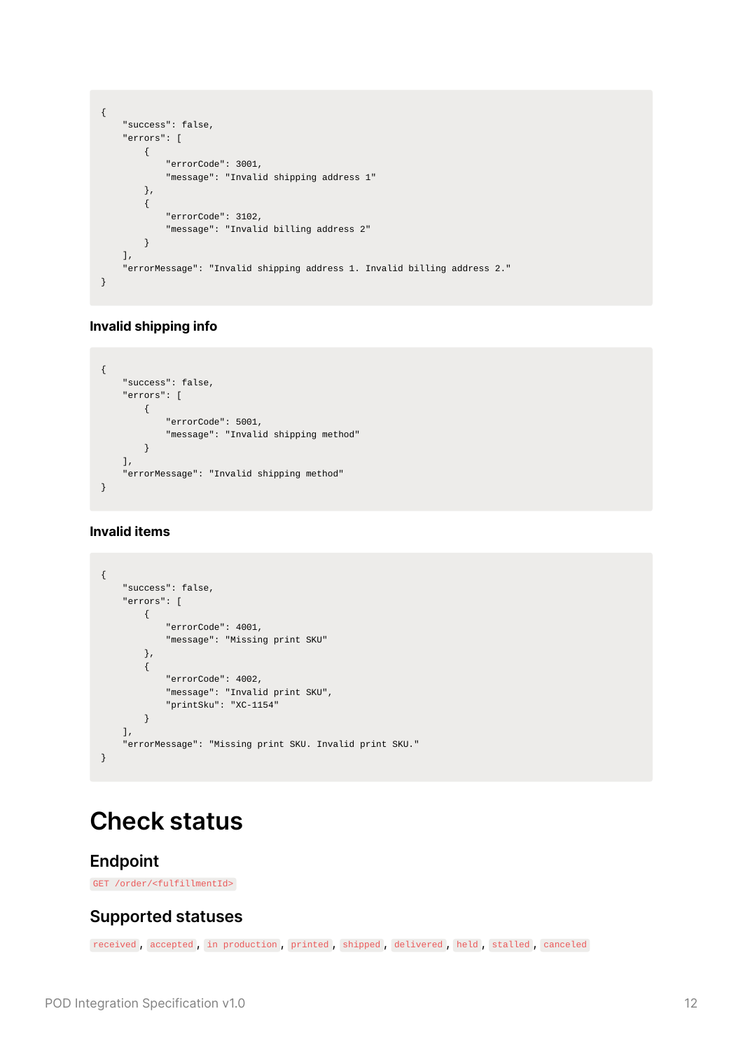```
{
    "success": false,
    "errors": [
       {
            "errorCode": 3001,
            "message": "Invalid shipping address 1"
        },
        {
            "errorCode": 3102,
            "message": "Invalid billing address 2"
        }
    ],
    "errorMessage": "Invalid shipping address 1. Invalid billing address 2."
}
```
#### **Invalid shipping info**

```
{
    "success": false,
    "errors": [
      \{"errorCode": 5001,
            "message": "Invalid shipping method"
       }
    ],
    "errorMessage": "Invalid shipping method"
}
```
#### **Invalid items**

```
{
    "success": false,
    "errors": [
       {
            "errorCode": 4001,
            "message": "Missing print SKU"
        },
        {
            "errorCode": 4002,
            "message": "Invalid print SKU",
            "printSku": "XC-1154"
        }
    ],
    "errorMessage": "Missing print SKU. Invalid print SKU."
}
```
## <span id="page-11-0"></span>**Check status**

#### <span id="page-11-1"></span>**Endpoint**

GET /order/<fulfillmentId>

#### <span id="page-11-2"></span>**Supported statuses**

received , accepted , in production , printed , shipped , delivered , held , stalled , canceled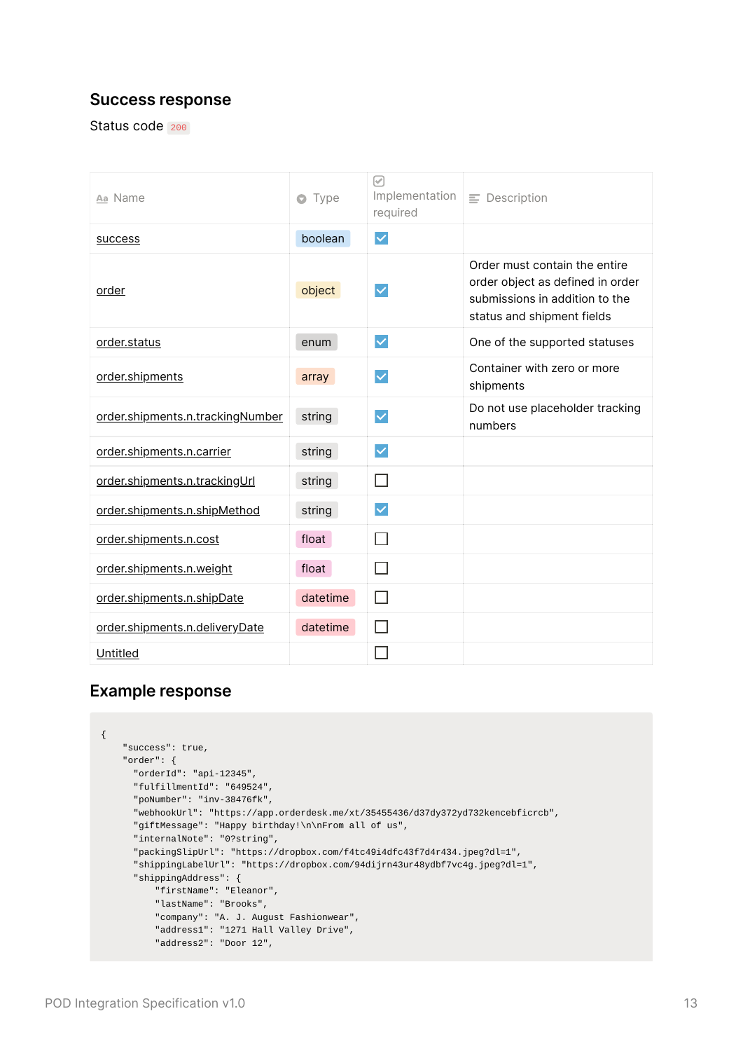#### <span id="page-12-0"></span>**Success response**

Status code 200

| Aa Name                          | Type<br>o | $\lbrack \checkmark \rbrack$<br>Implementation<br>required | $\equiv$ Description                                                                                                              |
|----------------------------------|-----------|------------------------------------------------------------|-----------------------------------------------------------------------------------------------------------------------------------|
| success                          | boolean   | $\checkmark$                                               |                                                                                                                                   |
| order                            | object    | $\checkmark$                                               | Order must contain the entire<br>order object as defined in order<br>submissions in addition to the<br>status and shipment fields |
| order.status                     | enum      | $\checkmark$                                               | One of the supported statuses                                                                                                     |
| order.shipments                  | array     | $\checkmark$                                               | Container with zero or more<br>shipments                                                                                          |
| order.shipments.n.trackingNumber | string    | $\checkmark$                                               | Do not use placeholder tracking<br>numbers                                                                                        |
| order.shipments.n.carrier        | string    | $\checkmark$                                               |                                                                                                                                   |
| order.shipments.n.trackingUrl    | string    | ⊓                                                          |                                                                                                                                   |
| order.shipments.n.shipMethod     | string    | $\checkmark$                                               |                                                                                                                                   |
| order.shipments.n.cost           | float     |                                                            |                                                                                                                                   |
| order.shipments.n.weight         | float     | П                                                          |                                                                                                                                   |
| order.shipments.n.shipDate       | datetime  | П                                                          |                                                                                                                                   |
| order.shipments.n.deliveryDate   | datetime  |                                                            |                                                                                                                                   |
| Untitled                         |           |                                                            |                                                                                                                                   |

#### <span id="page-12-1"></span>**Example response**

```
{
   "success": true,
   "order": {
     "orderId": "api-12345",
     "fulfillmentId": "649524",
     "poNumber": "inv-38476fk",
     "webhookUrl": "https://app.orderdesk.me/xt/35455436/d37dy372yd732kencebficrcb",
     "giftMessage": "Happy birthday!\n\nFrom all of us",
     "internalNote": "0?string",
     "packingSlipUrl": "https://dropbox.com/f4tc49i4dfc43f7d4r434.jpeg?dl=1",
     "shippingLabelUrl": "https://dropbox.com/94dijrn43ur48ydbf7vc4g.jpeg?dl=1",
     "shippingAddress": {
          "firstName": "Eleanor",
         "lastName": "Brooks",
         "company": "A. J. August Fashionwear",
         "address1": "1271 Hall Valley Drive",
         "address2": "Door 12",
```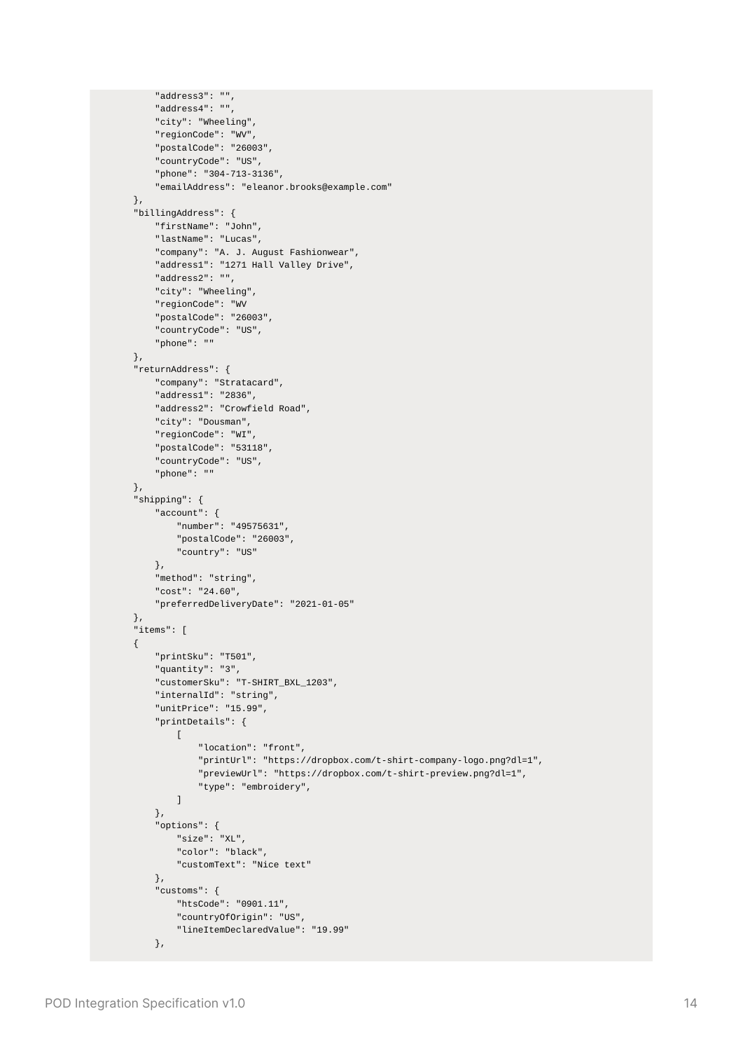```
"address3": "",
    "address4": "",
    "city": "Wheeling",
    "regionCode": "WV",
    "postalCode": "26003",
    "countryCode": "US",
    "phone": "304-713-3136",
    "emailAddress": "eleanor.brooks@example.com"
},
"billingAddress": {
    "firstName": "John",
    "lastName": "Lucas",
    "company": "A. J. August Fashionwear",
    "address1": "1271 Hall Valley Drive",
    "address2": "",
    "city": "Wheeling",
    "regionCode": "WV
    "postalCode": "26003",
    "countryCode": "US",
    "phone": ""
},
"returnAddress": {
    "company": "Stratacard",
    "address1": "2836",
    "address2": "Crowfield Road",
    "city": "Dousman",
    "regionCode": "WI",
    "postalCode": "53118",
    "countryCode": "US",
    "phone": ""
},
"shipping": {
    "account": {
        "number": "49575631",
        "postalCode": "26003",
        "country": "US"
    },
    "method": "string",
    "cost": "24.60",
    "preferredDeliveryDate": "2021-01-05"
},
"items": [
{
    "printSku": "T501",
    "quantity": "3",
    "customerSku": "T-SHIRT_BXL_1203",
    "internalId": "string",
    "unitPrice": "15.99",
    "printDetails": {
        \Gamma"location": "front",
            "printUrl": "https://dropbox.com/t-shirt-company-logo.png?dl=1",
            "previewUrl": "https://dropbox.com/t-shirt-preview.png?dl=1",
            "type": "embroidery",
        ]
    },
    "options": {
        "size": "XL",
        "color": "black",
        "customText": "Nice text"
    },
    "customs": {
        "htsCode": "0901.11",
        "countryOfOrigin": "US",
        "lineItemDeclaredValue": "19.99"
    },
```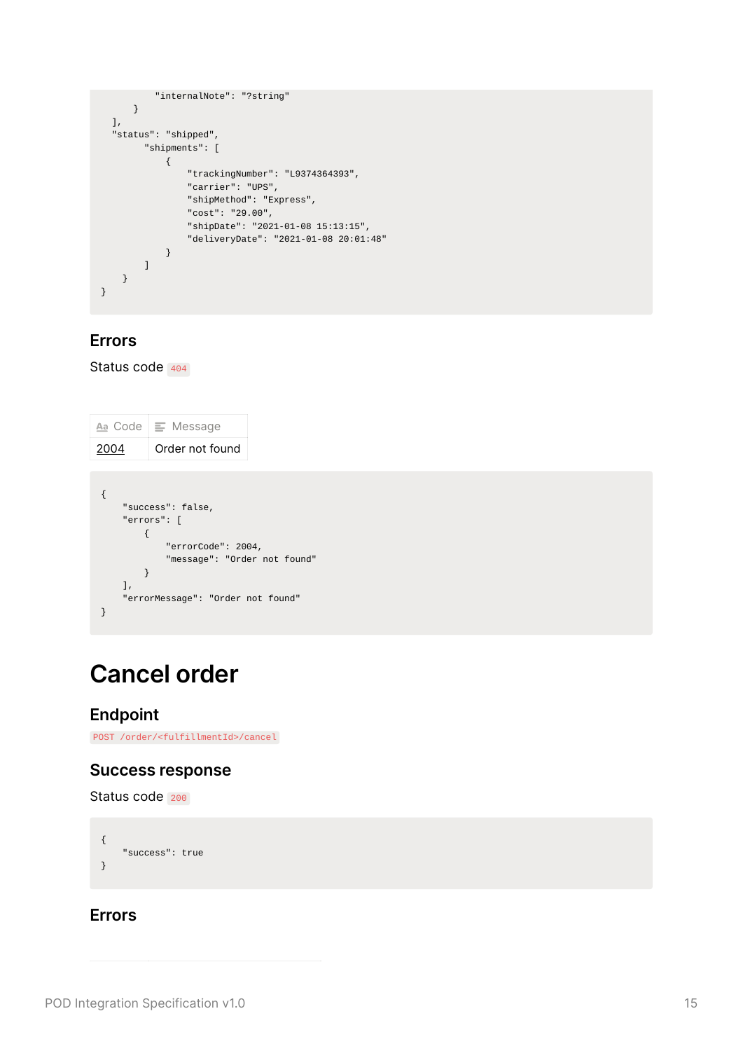```
"internalNote": "?string"
     }
  ],
  "status": "shipped",
       "shipments": [
           {
               "trackingNumber": "L9374364393",
               "carrier": "UPS",
               "shipMethod": "Express",
               "cost": "29.00",
               "shipDate": "2021-01-08 15:13:15",
               "deliveryDate": "2021-01-08 20:01:48"
           }
       ]
   }
}
```
#### <span id="page-14-0"></span>**Errors**

Status code 404

```
\underline{Aa} Code \equiv Message
2004 Order not found
{
    "success": false,
    "errors": [
      \{"errorCode": 2004,
            "message": "Order not found"
       }
    ],
    "errorMessage": "Order not found"
}
```
## <span id="page-14-1"></span>**Cancel order**

#### <span id="page-14-2"></span>**Endpoint**

POST /order/<fulfillmentId>/cancel

#### <span id="page-14-3"></span>**Success response**

Status code 200

```
{
   "success": true
}
```
#### <span id="page-14-4"></span>**Errors**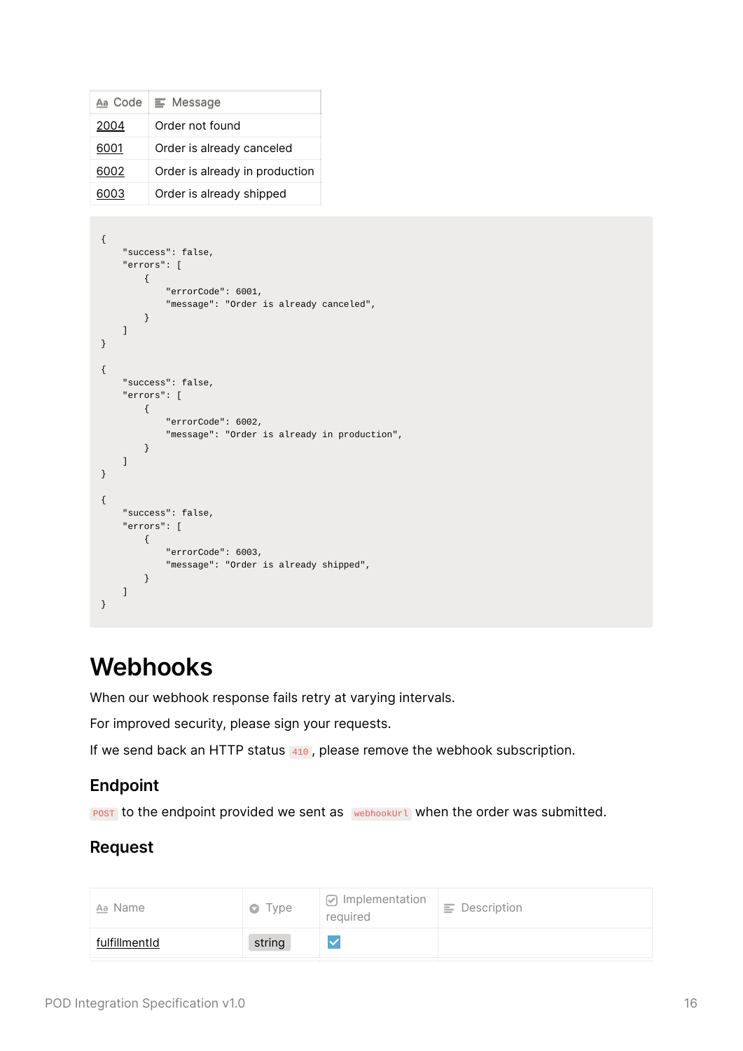| Aa Code | $\equiv$ Message               |
|---------|--------------------------------|
| 2004    | Order not found                |
| 6001    | Order is already canceled      |
| 6002    | Order is already in production |
| SOO3.   | Order is already shipped       |

```
{
    "success": false,
    "errors": [
       {
            "errorCode": 6001,
            "message": "Order is already canceled",
       }
   ]
}
{
    "success": false,
    "errors": [
       {
            "errorCode": 6002,
            "message": "Order is already in production",
       }
    ]
}
{
    "success": false,
    "errors": [
       {
            "errorCode": 6003,
           "message": "Order is already shipped",
       }
   ]
}
```
## <span id="page-15-0"></span>**Webhooks**

When our webhook response fails retry at varying intervals.

For improved security, please sign your requests.

If we send back an HTTP status 410, please remove the webhook subscription.

### <span id="page-15-1"></span>**Endpoint**

POST to the endpoint provided we sent as webhookUrl when the order was submitted.

### <span id="page-15-2"></span>**Request**

| Aa Name       | Type<br>$\bullet$ | ☑ Implementation<br>required | $\equiv$ Description |
|---------------|-------------------|------------------------------|----------------------|
| fulfillmentId | string            |                              |                      |